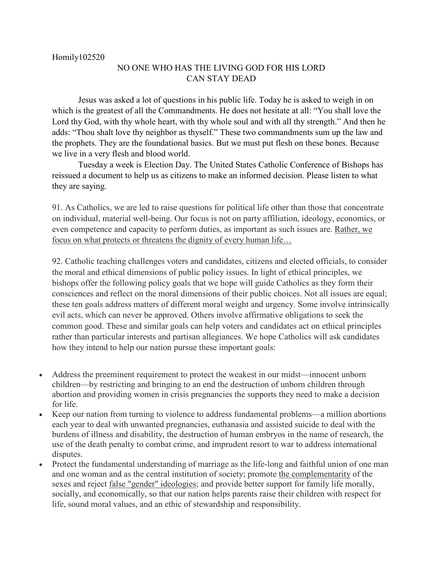## NO ONE WHO HAS THE LIVING GOD FOR HIS LORD CAN STAY DEAD

Jesus was asked a lot of questions in his public life. Today he is asked to weigh in on which is the greatest of all the Commandments. He does not hesitate at all: "You shall love the Lord thy God, with thy whole heart, with thy whole soul and with all thy strength." And then he adds: "Thou shalt love thy neighbor as thyself." These two commandments sum up the law and the prophets. They are the foundational basics. But we must put flesh on these bones. Because we live in a very flesh and blood world.

Tuesday a week is Election Day. The United States Catholic Conference of Bishops has reissued a document to help us as citizens to make an informed decision. Please listen to what they are saying.

91. As Catholics, we are led to raise questions for political life other than those that concentrate on individual, material well-being. Our focus is not on party affiliation, ideology, economics, or even competence and capacity to perform duties, as important as such issues are. Rather, we focus on what protects or threatens the dignity of every human life…

92. Catholic teaching challenges voters and candidates, citizens and elected officials, to consider the moral and ethical dimensions of public policy issues. In light of ethical principles, we bishops offer the following policy goals that we hope will guide Catholics as they form their consciences and reflect on the moral dimensions of their public choices. Not all issues are equal; these ten goals address matters of different moral weight and urgency. Some involve intrinsically evil acts, which can never be approved. Others involve affirmative obligations to seek the common good. These and similar goals can help voters and candidates act on ethical principles rather than particular interests and partisan allegiances. We hope Catholics will ask candidates how they intend to help our nation pursue these important goals:

- Address the preeminent requirement to protect the weakest in our midst—innocent unborn children—by restricting and bringing to an end the destruction of unborn children through abortion and providing women in crisis pregnancies the supports they need to make a decision for life.
- Keep our nation from turning to violence to address fundamental problems—a million abortions each year to deal with unwanted pregnancies, euthanasia and assisted suicide to deal with the burdens of illness and disability, the destruction of human embryos in the name of research, the use of the death penalty to combat crime, and imprudent resort to war to address international disputes.
- Protect the fundamental understanding of marriage as the life-long and faithful union of one man and one woman and as the central institution of society; promote the complementarity of the sexes and reject false "gender" ideologies; and provide better support for family life morally, socially, and economically, so that our nation helps parents raise their children with respect for life, sound moral values, and an ethic of stewardship and responsibility.